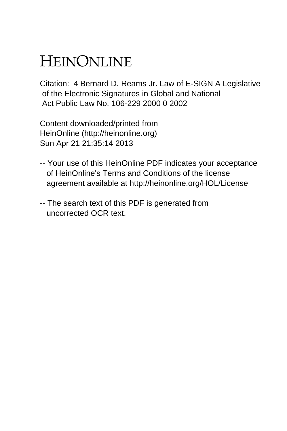# HEINONLINE

Citation: 4 Bernard D. Reams Jr. Law of E-SIGN A Legislative of the Electronic Signatures in Global and National Act Public Law No. 106-229 2000 0 2002

Content downloaded/printed from HeinOnline (http://heinonline.org) Sun Apr 21 21:35:14 2013

- -- Your use of this HeinOnline PDF indicates your acceptance of HeinOnline's Terms and Conditions of the license agreement available at http://heinonline.org/HOL/License
- -- The search text of this PDF is generated from uncorrected OCR text.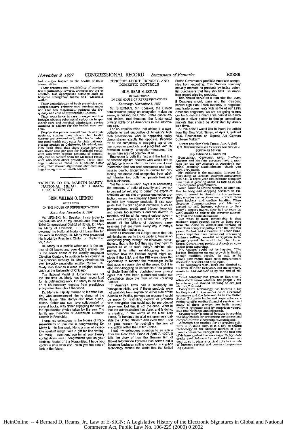CONGRESSIONAL RECORD - Extensions of Remarks

had a major impact on the health of their communities

Their presence and availability of services<br>has significantly lowered unnecessary use of constitute, less appropriate unnecessary use of<br>costiler, less appropriate settings such as<br>hospital emergency rooms and "Medicaid<br>mills".

Their consolidation of both preventive and

Their consolidation of order person<br>comprehensive primary care services under note roof has measurably reduced the<br>quency and cost of preventable Illnesses.<br>Their experience in case management has<br>brought about a substanti

cent.<br>Despite the poorer overall health of their<br>patients, studies have shown that health<br>centers are tremendously effective in reduccenters are tremendously effective in reduc-<br>respectively reduced in figure to integrate a reduced by New York show that those states incurred<br>New York show that those states incurred ents who were create for Medical reci

TRIBUTE TO DR. MARTIN MARTY, **NATIONAL MEDAL** OF HUMAN-**ITIES RECIPIENT** 

## HON. WILLIAM O. LIPINSKI

OF ILLINOIS IN THE HOUSE OF REPRESENTATIVES

Saturday, November 8, 1997

Mr. LIPINSKI, Mr. Speaker, I rise today to congratulate one of my constituents from the<br>Third Congressional District of Illinois, Dr. Martin Marty of Riverside, IL. Dr. Marty was<br>awarded the National Medal of Humanities for his work in theology. Dr. Marty was presented<br>his Medal by President Clinton on September 29.1997.

Dr. Marty is a prolific writer and is the au ther of 50 books and over 4,300 articles. He<br>is the senior editor of the weekly magazine Christian Century. In addition to his column in<br>the Christian Century, Dr. Marty circulates his own biweekly newsletter entitled Context. Dr.<br>Marty also teaches a class in religion twice a<br>week at the University of Chicago.

The National Medal of Humanities was not the first time Dr. Marty has been recognized<br>for his outstanding work. Dr. Marty is the hold-<br>er of 56 honorary degrees from prestigious<br>universities throughout the world.

Dr. Marty is happly married to his wife Hariet, who accompanied him to dinner at the White House. The Martys also have a son, Michael Micah. Father and son have collaborated on several books, with father supplying the text spectacular photos taken by the son. The family are members of Ascension Lutheran Church in Riverside.

I urge my colleagues in the House of Rep resentatives to join me in congratulating Dr.<br>Marty for his fine work. He is a man of incredible spiritual insight with a gift for fine writing.<br>Dr. Marty, I commend you for all your literary contributions and I congratulate you on you National Medal of the Humanities. I hope you<br>continue your work and I wish you the best of<br>luck in the future. CONCERN ABOUT EXPORTS AND DOMESTIC CONTROLS

## HON. BRAD SHERMAN

OF CALIFORNIA<br>IN THE HOUSE OF REPRESENTATIVES Saturday, November 8, 1997

Mr. SHERMAN. Mr. Speaker, the Clinton administration policy on encryption makes no<br>sense, is costing the United States critical export dollars, and threatens the fundamental<br>privacy rights of all Americans in the information age.

an administration that claims it is sym pathetic to and supportive of America's high pathelic to and supportive of America's high characteristic conducted characteristic dependent of the computer products and programs with information security—encyption-features, the formation security—encyption—features,

of defense against hackers who would like to et into bank accounts or pry loose credit card get into bank accounts or pry roots stress<br>information that can cost consumers and busi-<br>interesting the consideration reports nesses dearly. Encryption is crucial for pro-<br>tecting customers and companies from criminal intrusion into both their private lives and their businesses

Yet the administration says it is addressing the concerns of national security and law en-<br>forcement by refusing to permit the export of software with 56 bits or greater encryption protection, unless the company agrees to commit to build key recovery products. It also suggests that the war against criminals, such as pornographers, credit card thieves, terrorists and others too numerous and too diverse to mention, will be all for naught unless government executions are handed the keys to<br>unlock all the billions of electronic transmissions that are made every day in today's lectronic information age.<br>Now as ridiculous as it might seem that this

administration wants the capacity to tune in on<br>everything going through the alrwaves; nevertheless, that is the tool they say they need to protect all of us from today's criminal elements. It is rather mind-boggling to contemplate how the Federal payroll might explode if the NSA and the FBI were given the opportunity to monitor the messenger traffic<br>that goes on every day of the week. But it is also mind-boggling to contemplate the picture<br>of Uncle Sam riding roughshod over privacy rights that have been guaranteed under our<br>Constitution since the days of our Founding Eathe

If American firms had a monopoly on<br>encryption skills, and if these products were not available from anyone on either side of the Atlantic or Pacific, perhaps an argument could he made for restricting exports of products<br>with encryption that could not be reproduced<br>elsewhere. But that is not the case. What in fact the administration has done, and is doing, ract the aoministration has oone, and is doing,<br>is creating, in the words of the New York<br>Times, "a bonanza for alert entrepreneurs out-<br>side the United States." And even then I see<br>no good reason for restricting the use o encryption within the United States

I call my colleagues attention to an article from the New York Times of April 7, 1997. It tells the story of how the German firm of Enokat Information Systems has carved out a<br>booming business selling powerful encryption<br>technology around the world that the United

States Government prohibits American compa-States coverinner profits. This German company<br>actually markets its products by telling poten-<br>tial purchasers that they shouldn't use American export-cripping products.<br>the many spotter of the should serve as a reminder t

if Congress should pass and the President<br>should sign Fast Track authority to negotiate new trade agreements with some of our Latin<br>American neighbors, we are not going to turn<br>our trade deficit around if we persist on handing on a silver platter to foreign competitors<br>markets that should be dominated by American firms.

At this point I would like to insert the article from the New York Times, of April 7, entitled "U.S. Restrictions on Exports Aid German<br>Software Maker."

[From the New York Times, Apr. 7, 1997] U.S. RESTRICTIONS ON EXPORTS AID GERMAN<br>SOFTWARE MAKER<br>(By Edmund L. Andrews)

(By Edmund L. Andrews) (ERA)<br>Andrew (ERA), Alexand L. Andrews and his four partners have a message for the spy masters in America's name<br>(Fig. 2) and the spy masters in America's namely weak<br>bulkshment: thank you have Ame

that encodes transactions and protects then hackers and on-line bandits. When<br>cape Communications and Microsoft from non naccers and one-mean contains and Microsoft<br>Netscape Communications and Microsoft<br>many's biggest banks, they had to team up<br>with Brokat to deliver the security guarant tee that the banks demanded.<br>But what is most remai

tee that the banks demanded. But what is most cenar<br>kable is that Barokat's rapid growth stems in large part from the Alice in Wonderland working of Arms<br>channel from the Alice in Wonderland working of American computer p

nology around the world that the United<br>relation Scharces Covernment prohibits American com-<br>marge from exporting.<br>Mr. Anderer could not be happer. "The biggest limitation on our growth is finding<br>equal property and prope

year.<br>
"This company has grown so fast that I<br>
"This company has grown so fast that I<br>
here have just started working or are just<br>
visitors," he said.<br>
Encryption technology has become a big<br>
Encryption technology has beco

visitors, ne sand the wolution is become a big<br>frequency and the solution of the conduction of the conduction of the<br>interpret commerce and the interacted of the travitation are commerce and the interacted of<br>puristions a ing systems.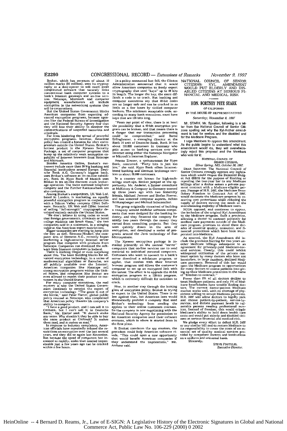November 9, 1997

Brokat. revenues of about 10 Brokat, which has revenues of about 10<br>million marks (\$6 million), uses its cryptogmillion marks (\$6 million), uses its cryptog-<br>raphy as a door-opener to sell much more<br>complicated software that securely links<br>conventional bank computer systems to a<br>bank's internet gateways and on-line server<br>loss. Nets ryption in the networking systems they

sell to corporations.<br>But the United States Government blocks But the United States Government blocks<br>
American companies from exporting ad-<br>
vanced encryption programs, because agen-<br>
value of the Federal Bureau of Investigation<br>
and the National Security Agency fear that<br>
they will

criminals.<br>Far from hindering the spread of powerful

Communications ou suspectes using the speed of powerful communications of the party policy has created a bonary computer policy has created a bonary of methem policy has created a bonary of near terms by a bonary bonary b

"We don't believe in using codes so weak that<br>is that foreing movemments, criminals or bored college students can break them,<br>"that foreing governments, criminals or bored companies said in a state<br>ment, in a study sigger

In a policy announced last fall, the Clinton Administration announced that it would<br>allow American companies to freely export cryptography that used "keys" up to 40 bits<br>in length. The longer the key, the more dif-<br>ficult a code is to crack. But banking and computer executives say that 40-bit codes computer sections are no longer safe and can be cracked in as<br>are no longer safe and can be cracked in as<br>little as a few hours by skilled computer<br>backers. The minimum acceptable code, accoding to many bank executives, must have<br>keys that are 128 bits long,

.<br>'From our point of view, there is at least the possibility that a 40-bit encryption program can be broken, and that means there is a danger that our transaction processing could be compromised," said Bernd<br>Erlingheuser, a managing director at the<br>Bank 24 unit of Deutsche Bank. Bank 24 has Bank 24 unit of Deutsche Bank. Bank 24 units about 110,000 customers in Germany who<br>gain access to banking services over the<br>Internet using either the Netscape Navigator<br>or Microsft's Internet Explorer.

Anatte Zinsser, a spokeswoman for Hypo<br>Bank, concurred. "Forty bits is just too<br>low," she said. Hypo Bank offers Internet-<br>based banking and discount brokerage servbased banking and discount the stock of about 28,000 customers.

In a country not known for high-technology start-ups, Brokat jumped at the op-<br>portunity. Mr. Anderer, a former consultant procuring. The company in Germany teamed<br>at McKinsey & Company in Germany teamed<br>up three years ago with two fraternity<br>friends, Michael Janssen and Stefan Roever. and two seasoned computer experts, Achim<br>Schlumpberger and Michael Schumacher.

The group originally conceived of building a company around modular software comp nents that were designed for the banking in-<br>dustry, and they financed the company for mearly two years through the money and nearly two years through the money and earned from consulting projects. But they nearly two years through the money they were quickly drawn in the area of<br>encryption, and developed a series of proaround the Java technology of Sun dicrosystems.

The Xpresso encryption package is installed primarily on the central "server"<br>computers that on-line services use to send material to individual personal computers. Customers who want to connect to a bank's<br>server download a miniature program, or applet. that meshes with their Internet vser program and allows the customer's computer to set up an encrypted link with<br>the server. The effect is to upgrade the 40-bit<br>encryption program to a 128-bit program, encryption program to a 128-bit program,<br>which is extremely difficult for outsiders to crack

Now, in another step through the looking glass of encryption policy, Brokat is trying<br>to export to the United States. There is no to export to the omtete octats. There is no<br>the theoretically prohibit a company that used<br>Brokat's technology from sending the<br>applets to their online customers overseas. So the company is now negotiating with the National Security Agency for permission to<br>let American companies send their software<br>overseas, which is where it started from in the first place.

It Brokat convinces the spy masters, the precedent could help American software rivals, "This could open a new opportunity that would benefit American companies if they understand the implications," Mr. Anderer said.

SENIOR NATIONAL COUNCIL OF CITIZENS: WALL AMENDMENT<br>CITIZENS: KYL AMENDMENT<br>WOULD PUT ELDERLY AND DIS-<br>ABLED CITIZENS AT SERIOUS FI-NANCIAL AND MEDICAL RISK

## HON. FORTNEY PETE STARK

OF CALIFORNIA

IN THE HOUSE OF REPRESENTATIVES Saturday, November 8, 1997

Mr. STARK. Mr. Speaker, following is a letter from the National Council of Senior Citizens spelling out why the Kyl-Archer amend-<br>ment is bad for seniors and the disabled and for the Medicare Program.

I urge Members to oppose this amendment. As the public begins to understand what this<br>amendment would do, they will overwhelmingly reject this proposal and the Members who vote for it:

### NATIONAL COUNCIL OF

SENIOR CONCIL OF<br>SENIOR CITIZENS.<br>Silver Spring, MD, October 30, 1997.

DEAR SENATOR: The National Council of<br>The Senator Citizens strongly opposes any legisla-<br>tion which would reopen the Balanced Budge<br>of Act (BBA) for the purpose of limiting or<br>erapsaling the two-year bar to any Medicare e DEAR SENATOR: The National Council of

overwhelming majority of Medicare users,<br>except the inclusion of the critical opposed, and continues to oppose,<br>to the Medicare program. Such a provision, to the Medicare program. Such a provision,<br>medical calcular a docto

porated into Medicare<br>according to the Syl Amendment did in-clude the provision barring for two years and<br>conduct the Night of the Sylemon of the Medicare conduction of<br>the Medicare billings subsequent to an ered services

of "freedom to contract."<br>
Fever than 5% of all doctors decline to treat Medicare patients, and only 1% of Medicare business class the lotter of the current doctor patient Medicare matched matched matched matched in the H. ices, instead of receiping the Medicine's ability to hold down health care<br>costs and would put elderly and disabled citi-<br>zens at serious financial and medical risk,

zens at vertuos inientai anno mentiones.<br>
We pledge every effort to defeat H.R. 2497<br>
or any similar bill and to restore Medicare to<br>
its responsibility to cover the costs of an essential set<br>
its responsibility to cover t Sincerely.

**STRVR PROTULIS** Executive Director.

HeinOnline -- 4 Bernard D. Reams, Jr., Law of E-SIGN: A Legislative History of the Electronic Signatures in Global and National Commerce Act, Public Law No. 106-229 (2000) 0 2002